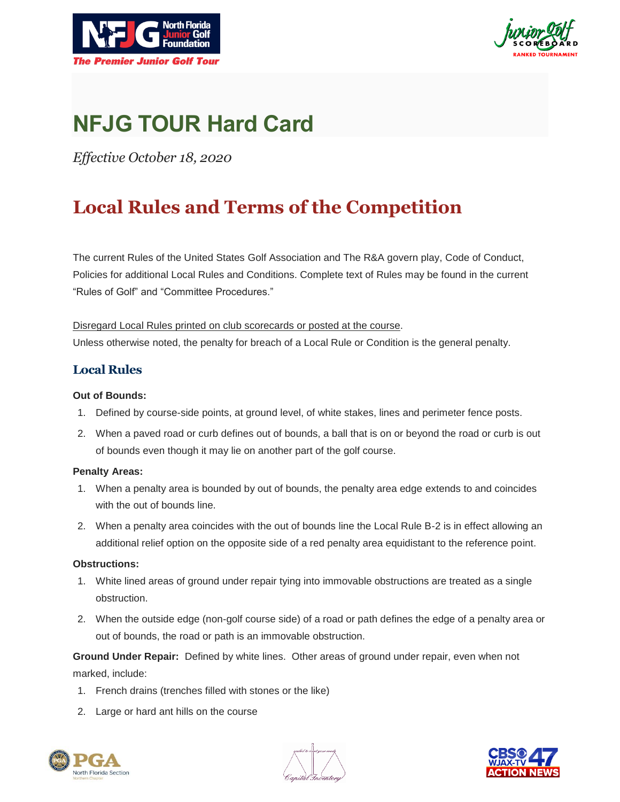



# **NFJG TOUR Hard Card**

*Effective October 18, 2020*

## **Local Rules and Terms of the Competition**

The current Rules of the United States Golf Association and The R&A govern play, Code of Conduct, Policies for additional Local Rules and Conditions. Complete text of Rules may be found in the current "Rules of Golf" and "Committee Procedures."

Disregard Local Rules printed on club scorecards or posted at the course. Unless otherwise noted, the penalty for breach of a Local Rule or Condition is the general penalty.

### **Local Rules**

#### **Out of Bounds:**

- 1. Defined by course-side points, at ground level, of white stakes, lines and perimeter fence posts.
- 2. When a paved road or curb defines out of bounds, a ball that is on or beyond the road or curb is out of bounds even though it may lie on another part of the golf course.

#### **Penalty Areas:**

- 1. When a penalty area is bounded by out of bounds, the penalty area edge extends to and coincides with the out of bounds line.
- 2. When a penalty area coincides with the out of bounds line the Local Rule B-2 is in effect allowing an additional relief option on the opposite side of a red penalty area equidistant to the reference point.

#### **Obstructions:**

- 1. White lined areas of ground under repair tying into immovable obstructions are treated as a single obstruction.
- 2. When the outside edge (non-golf course side) of a road or path defines the edge of a penalty area or out of bounds, the road or path is an immovable obstruction.

**Ground Under Repair:** Defined by white lines. Other areas of ground under repair, even when not marked, include:

- 1. French drains (trenches filled with stones or the like)
- 2. Large or hard ant hills on the course





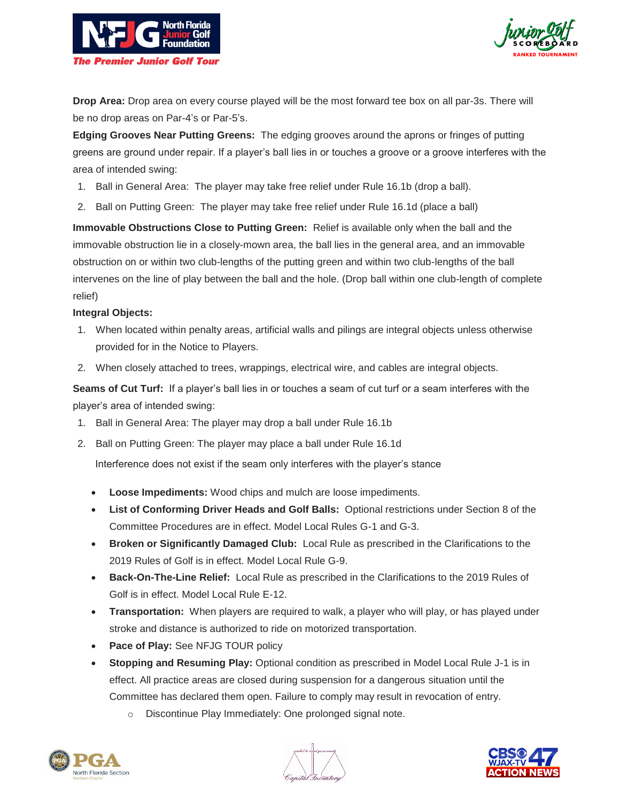



**Drop Area:** Drop area on every course played will be the most forward tee box on all par-3s. There will be no drop areas on Par-4's or Par-5's.

**Edging Grooves Near Putting Greens:** The edging grooves around the aprons or fringes of putting greens are ground under repair. If a player's ball lies in or touches a groove or a groove interferes with the area of intended swing:

- 1. Ball in General Area: The player may take free relief under Rule 16.1b (drop a ball).
- 2. Ball on Putting Green: The player may take free relief under Rule 16.1d (place a ball)

**Immovable Obstructions Close to Putting Green:** Relief is available only when the ball and the immovable obstruction lie in a closely-mown area, the ball lies in the general area, and an immovable obstruction on or within two club-lengths of the putting green and within two club-lengths of the ball intervenes on the line of play between the ball and the hole. (Drop ball within one club-length of complete relief)

#### **Integral Objects:**

- 1. When located within penalty areas, artificial walls and pilings are integral objects unless otherwise provided for in the Notice to Players.
- 2. When closely attached to trees, wrappings, electrical wire, and cables are integral objects.

**Seams of Cut Turf:** If a player's ball lies in or touches a seam of cut turf or a seam interferes with the player's area of intended swing:

- 1. Ball in General Area: The player may drop a ball under Rule 16.1b
- 2. Ball on Putting Green: The player may place a ball under Rule 16.1d

Interference does not exist if the seam only interferes with the player's stance

- **Loose Impediments:** Wood chips and mulch are loose impediments.
- **List of Conforming Driver Heads and Golf Balls:** Optional restrictions under Section 8 of the Committee Procedures are in effect. Model Local Rules G-1 and G-3.
- **Broken or Significantly Damaged Club:** Local Rule as prescribed in the Clarifications to the 2019 Rules of Golf is in effect. Model Local Rule G-9.
- **Back-On-The-Line Relief:** Local Rule as prescribed in the Clarifications to the 2019 Rules of Golf is in effect. Model Local Rule E-12.
- **Transportation:** When players are required to walk, a player who will play, or has played under stroke and distance is authorized to ride on motorized transportation.
- **Pace of Play:** See NFJG TOUR policy
- **Stopping and Resuming Play:** Optional condition as prescribed in Model Local Rule J-1 is in effect. All practice areas are closed during suspension for a dangerous situation until the Committee has declared them open. Failure to comply may result in revocation of entry.
	- o Discontinue Play Immediately: One prolonged signal note.